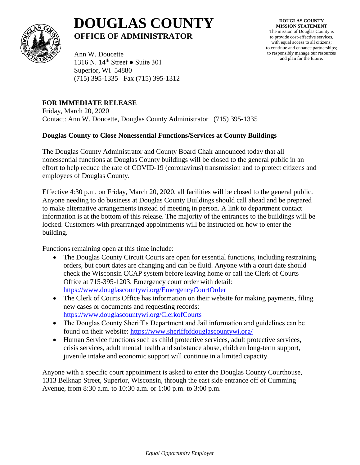

## **DOUGLAS COUNTY OFFICE OF ADMINISTRATOR**

**DOUGLAS COUNTY MISSION STATEMENT** The mission of Douglas County is to provide cost-effective services, with equal access to all citizens; to continue and enhance partnerships; to responsibly manage our resources and plan for the future.

Ann W. Doucette 1316 N. 14th Street ● Suite 301 Superior, WI 54880 (715) 395-1335 Fax (715) 395-1312

## **FOR IMMEDIATE RELEASE**

Friday, March 20, 2020 Contact: Ann W. Doucette, Douglas County Administrator **|** (715) 395-1335

## **Douglas County to Close Nonessential Functions/Services at County Buildings**

The Douglas County Administrator and County Board Chair announced today that all nonessential functions at Douglas County buildings will be closed to the general public in an effort to help reduce the rate of COVID-19 (coronavirus) transmission and to protect citizens and employees of Douglas County.

Effective 4:30 p.m. on Friday, March 20, 2020, all facilities will be closed to the general public. Anyone needing to do business at Douglas County Buildings should call ahead and be prepared to make alternative arrangements instead of meeting in person. A link to department contact information is at the bottom of this release. The majority of the entrances to the buildings will be locked. Customers with prearranged appointments will be instructed on how to enter the building.

Functions remaining open at this time include:

- The Douglas County Circuit Courts are open for essential functions, including restraining orders, but court dates are changing and can be fluid. Anyone with a court date should check the Wisconsin CCAP system before leaving home or call the Clerk of Courts Office at 715-395-1203. Emergency court order with detail: <https://www.douglascountywi.org/EmergencyCourtOrder>
- The Clerk of Courts Office has information on their website for making payments, filing new cases or documents and requesting records: <https://www.douglascountywi.org/ClerkofCourts>
- The Douglas County Sheriff's Department and Jail information and guidelines can be found on their website:<https://www.sheriffofdouglascountywi.org/>
- Human Service functions such as child protective services, adult protective services, crisis services, adult mental health and substance abuse, children long-term support, juvenile intake and economic support will continue in a limited capacity.

Anyone with a specific court appointment is asked to enter the Douglas County Courthouse, 1313 Belknap Street, Superior, Wisconsin, through the east side entrance off of Cumming Avenue, from 8:30 a.m. to 10:30 a.m. or 1:00 p.m. to 3:00 p.m.